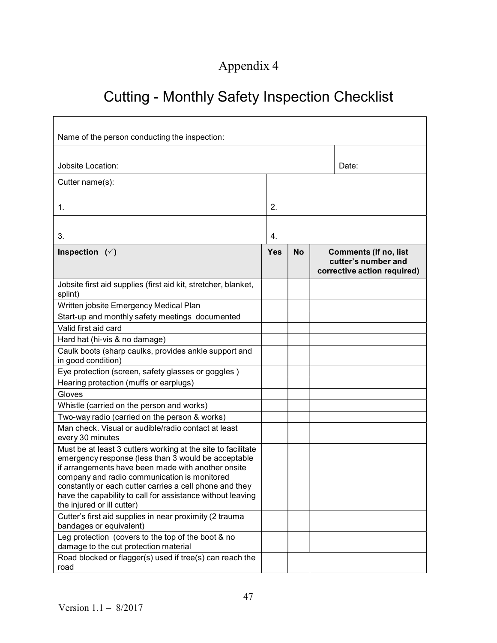## Appendix 4

## Cutting - Monthly Safety Inspection Checklist

| Name of the person conducting the inspection:                                                                                                                                                                                                                                                                                                                                    |            |           |                                                                                    |       |  |  |
|----------------------------------------------------------------------------------------------------------------------------------------------------------------------------------------------------------------------------------------------------------------------------------------------------------------------------------------------------------------------------------|------------|-----------|------------------------------------------------------------------------------------|-------|--|--|
| Jobsite Location:                                                                                                                                                                                                                                                                                                                                                                |            |           |                                                                                    | Date: |  |  |
| Cutter name(s):                                                                                                                                                                                                                                                                                                                                                                  |            |           |                                                                                    |       |  |  |
| 1.                                                                                                                                                                                                                                                                                                                                                                               | 2.         |           |                                                                                    |       |  |  |
| 3.                                                                                                                                                                                                                                                                                                                                                                               | 4.         |           |                                                                                    |       |  |  |
| Inspection $(\check{ }')$                                                                                                                                                                                                                                                                                                                                                        | <b>Yes</b> | <b>No</b> | <b>Comments (If no, list</b><br>cutter's number and<br>corrective action required) |       |  |  |
| Jobsite first aid supplies (first aid kit, stretcher, blanket,<br>splint)                                                                                                                                                                                                                                                                                                        |            |           |                                                                                    |       |  |  |
| Written jobsite Emergency Medical Plan                                                                                                                                                                                                                                                                                                                                           |            |           |                                                                                    |       |  |  |
| Start-up and monthly safety meetings documented                                                                                                                                                                                                                                                                                                                                  |            |           |                                                                                    |       |  |  |
| Valid first aid card                                                                                                                                                                                                                                                                                                                                                             |            |           |                                                                                    |       |  |  |
| Hard hat (hi-vis & no damage)                                                                                                                                                                                                                                                                                                                                                    |            |           |                                                                                    |       |  |  |
| Caulk boots (sharp caulks, provides ankle support and<br>in good condition)                                                                                                                                                                                                                                                                                                      |            |           |                                                                                    |       |  |  |
| Eye protection (screen, safety glasses or goggles)                                                                                                                                                                                                                                                                                                                               |            |           |                                                                                    |       |  |  |
| Hearing protection (muffs or earplugs)                                                                                                                                                                                                                                                                                                                                           |            |           |                                                                                    |       |  |  |
| Gloves                                                                                                                                                                                                                                                                                                                                                                           |            |           |                                                                                    |       |  |  |
| Whistle (carried on the person and works)                                                                                                                                                                                                                                                                                                                                        |            |           |                                                                                    |       |  |  |
| Two-way radio (carried on the person & works)                                                                                                                                                                                                                                                                                                                                    |            |           |                                                                                    |       |  |  |
| Man check. Visual or audible/radio contact at least<br>every 30 minutes                                                                                                                                                                                                                                                                                                          |            |           |                                                                                    |       |  |  |
| Must be at least 3 cutters working at the site to facilitate<br>emergency response (less than 3 would be acceptable<br>if arrangements have been made with another onsite<br>company and radio communication is monitored<br>constantly or each cutter carries a cell phone and they<br>have the capability to call for assistance without leaving<br>the injured or ill cutter) |            |           |                                                                                    |       |  |  |
| Cutter's first aid supplies in near proximity (2 trauma<br>bandages or equivalent)                                                                                                                                                                                                                                                                                               |            |           |                                                                                    |       |  |  |
| Leg protection (covers to the top of the boot & no<br>damage to the cut protection material                                                                                                                                                                                                                                                                                      |            |           |                                                                                    |       |  |  |
| Road blocked or flagger(s) used if tree(s) can reach the<br>road                                                                                                                                                                                                                                                                                                                 |            |           |                                                                                    |       |  |  |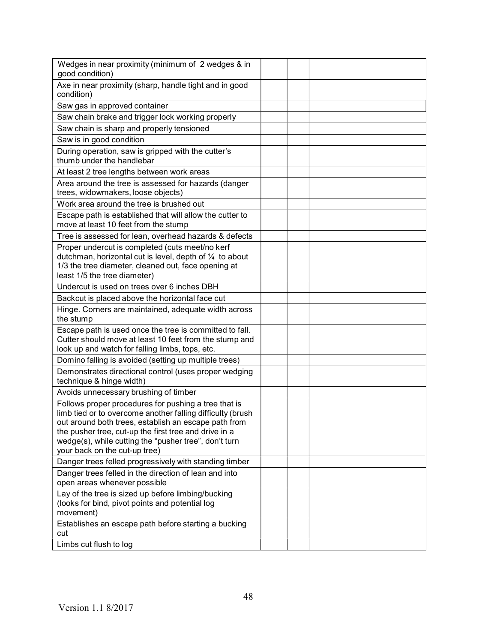| Wedges in near proximity (minimum of 2 wedges & in<br>good condition)                                                                                                                                                                                                                                                         |  |  |
|-------------------------------------------------------------------------------------------------------------------------------------------------------------------------------------------------------------------------------------------------------------------------------------------------------------------------------|--|--|
| Axe in near proximity (sharp, handle tight and in good<br>condition)                                                                                                                                                                                                                                                          |  |  |
| Saw gas in approved container                                                                                                                                                                                                                                                                                                 |  |  |
| Saw chain brake and trigger lock working properly                                                                                                                                                                                                                                                                             |  |  |
| Saw chain is sharp and properly tensioned                                                                                                                                                                                                                                                                                     |  |  |
| Saw is in good condition                                                                                                                                                                                                                                                                                                      |  |  |
| During operation, saw is gripped with the cutter's<br>thumb under the handlebar                                                                                                                                                                                                                                               |  |  |
| At least 2 tree lengths between work areas                                                                                                                                                                                                                                                                                    |  |  |
| Area around the tree is assessed for hazards (danger<br>trees, widowmakers, loose objects)                                                                                                                                                                                                                                    |  |  |
| Work area around the tree is brushed out                                                                                                                                                                                                                                                                                      |  |  |
| Escape path is established that will allow the cutter to<br>move at least 10 feet from the stump                                                                                                                                                                                                                              |  |  |
| Tree is assessed for lean, overhead hazards & defects                                                                                                                                                                                                                                                                         |  |  |
| Proper undercut is completed (cuts meet/no kerf<br>dutchman, horizontal cut is level, depth of 1/4 to about<br>1/3 the tree diameter, cleaned out, face opening at<br>least 1/5 the tree diameter)                                                                                                                            |  |  |
| Undercut is used on trees over 6 inches DBH                                                                                                                                                                                                                                                                                   |  |  |
| Backcut is placed above the horizontal face cut                                                                                                                                                                                                                                                                               |  |  |
| Hinge. Corners are maintained, adequate width across<br>the stump                                                                                                                                                                                                                                                             |  |  |
| Escape path is used once the tree is committed to fall.<br>Cutter should move at least 10 feet from the stump and<br>look up and watch for falling limbs, tops, etc.                                                                                                                                                          |  |  |
| Domino falling is avoided (setting up multiple trees)                                                                                                                                                                                                                                                                         |  |  |
| Demonstrates directional control (uses proper wedging<br>technique & hinge width)                                                                                                                                                                                                                                             |  |  |
| Avoids unnecessary brushing of timber                                                                                                                                                                                                                                                                                         |  |  |
| Follows proper procedures for pushing a tree that is<br>limb tied or to overcome another falling difficulty (brush<br>out around both trees, establish an escape path from<br>the pusher tree, cut-up the first tree and drive in a<br>wedge(s), while cutting the "pusher tree", don't turn<br>your back on the cut-up tree) |  |  |
| Danger trees felled progressively with standing timber                                                                                                                                                                                                                                                                        |  |  |
| Danger trees felled in the direction of lean and into<br>open areas whenever possible                                                                                                                                                                                                                                         |  |  |
| Lay of the tree is sized up before limbing/bucking<br>(looks for bind, pivot points and potential log<br>movement)                                                                                                                                                                                                            |  |  |
| Establishes an escape path before starting a bucking<br>cut                                                                                                                                                                                                                                                                   |  |  |
| Limbs cut flush to log                                                                                                                                                                                                                                                                                                        |  |  |